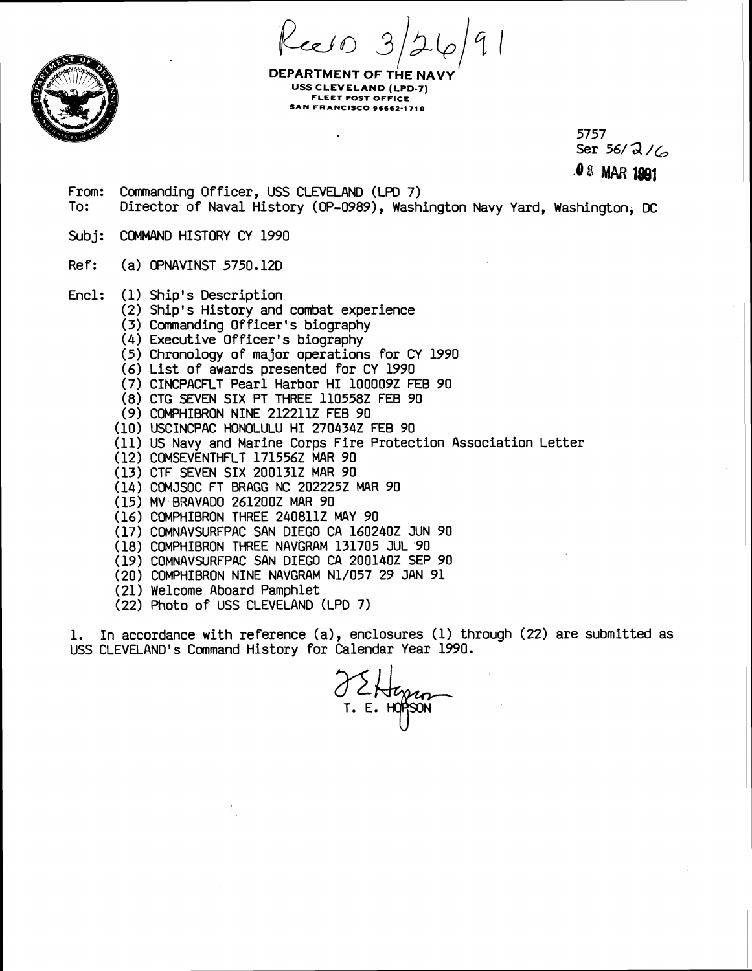Keelo

**DEPARTMENT OF THE NA USS CLEVELAND (LPD-7) FLEET POST OFFICE SAN FRANCISCO** 96662-1 **71 0** 

> 5757 Ser 56/ **d** /C, **4** <sup>8</sup>**MAR** l@l

From: Commanding Officer, USS CLEVELAND (LPD 7) To: Director of Naval History (OP-0989), Washington Navy Yard, Washington, DC

Subi: COMMAND HISTORY CY 1990

Ref: (a) OPNAVINST 5750.12D

- Encl: (1) Ship's Description
	- (2) Ship's History and combat experience
	- (3) Commanding Officer's biography
	- (4) Executive Officer's biography
	- (5) Chronology of major operations for CY 1990
	- (6) List of awards presented for CY 1990
	- (7) CINCPACFLT Pearl Harbor HI 1000092 FEB 90
	- (8) CTG SEVEN SIX PT THREE 1105582 FEB 90
	- (9) COMPHIBRON NINE 2122112 FEB 90
	- (10) USCINCPAC HONOLULU HI 2704342 FEB 90
	- (11) US Navy and Marine Corps Fire Protection Association Letter
	- (12) COMSEVENTHFLT 1715562 MAR 90
	- (13) CTF SEVEN SIX 2001312 MAR 90
	- (14) COMJSOC FT **BRAGG** NC 2022252 MAR 90
	- (15) *MV* BRAVADO 2612002 MAR 90
	- (16) COMPHIBRON THREE 2408112 MAY 90
	- (17) COMNAVSURFPAC SAN DIEGO CA 1602402 JUN 90
	- (18) COMPHIBRON THREE NAVGRAM 131705 JUL 90
	- (19) COMNAVSURFPAC SAN DIEGO **CA** 2001402 SEP 90
	- (20) COMPHIBRON NINE NAVGRAM N1/057 29 JAN 91
	- (21) Welcome Aboard Pamphlet
	- (22) Photo of USS CLEVELAND (LPD 7)

1. In accordance with reference (a), enclosures (1) through (22) are submitted as USS CLEVELAND'S Command History for Calendar Year 1990.

/ CHangan<br>T. E. HOPSON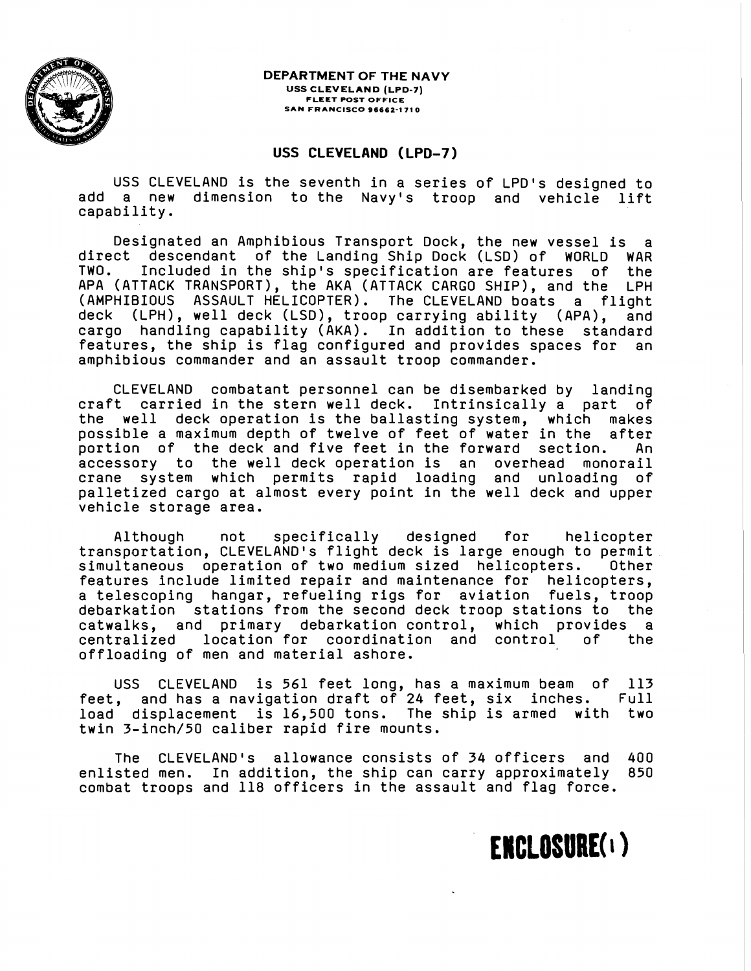

**DEPARTMENT OF THE NAVY USS CLEVELAND (LPD-7) FLEET POST OFFICE SAN FRANCISCO 96662-1 71 0** 

#### **USS CLEVELAND (LPD-7)**

USS CLEVELAND is the seventh in a series of LPD's designed to add a new dimension to the Navy's troop and vehicle lift capability.

Designated an Amphibious Transport Dock, the new vessel is direct descendant of the Landing Ship Dock (LSD) of WORLD WAR TWO. Included in the ship's specification are features of the APA (ATTACK TRANSPORT), the AKA (ATTACK CARGO SHIP), and the LPH (AMPHIBIOUS ASSAULT HELICOPTER). The CLEVELAND boats a flight deck (LPH), well deck (LSD), troop carrying ability (APA), and cargo handling capability (AKA). In addition to these standard features, the ship is flag configured and provides spaces for an amphibious commander and an assault troop commander.

CLEVELAND combatant personnel can be disembarked by landing craft carried in the stern well deck. Intrinsically a part of the well deck operation is the ballasting system, which makes possible a maximum depth of twelve of feet of water in the after portion of the deck and five feet in the forward section. An accessory to the well deck operation is an overhead monorail crane system which permits rapid loading and unloading of palletized cargo at almost every point in the well deck and upper vehicle storage area.

Although not specifically designed for helicopter transportation, CLEVELAND'S flight deck is large enough to permit simultaneous operation of two medium sized helicopters. Other features include limited repair and maintenance for helicopters, a telescoping hangar, refueling rigs for aviation fuels, troop debarkation stations from the second deck troop stations to the catwalks, and primary debarkation control, which provides a centralized location for coordination and control of the offloading of men and material ashore.

USS CLEVELAND is 561 feet long, has a maximum beam of 113 feet, and has a navigation draft of 24 feet, six inches. Full load displacement is 16,500 tons. The ship is armed with two twin 3-inch/50 caliber rapid fire mounts.

The CLEVELAND'S allowance consists of 34 officers and 400 enlisted men. In addition, the ship can carry approximately 850 combat troops and 118 officers in the assault and flag force.

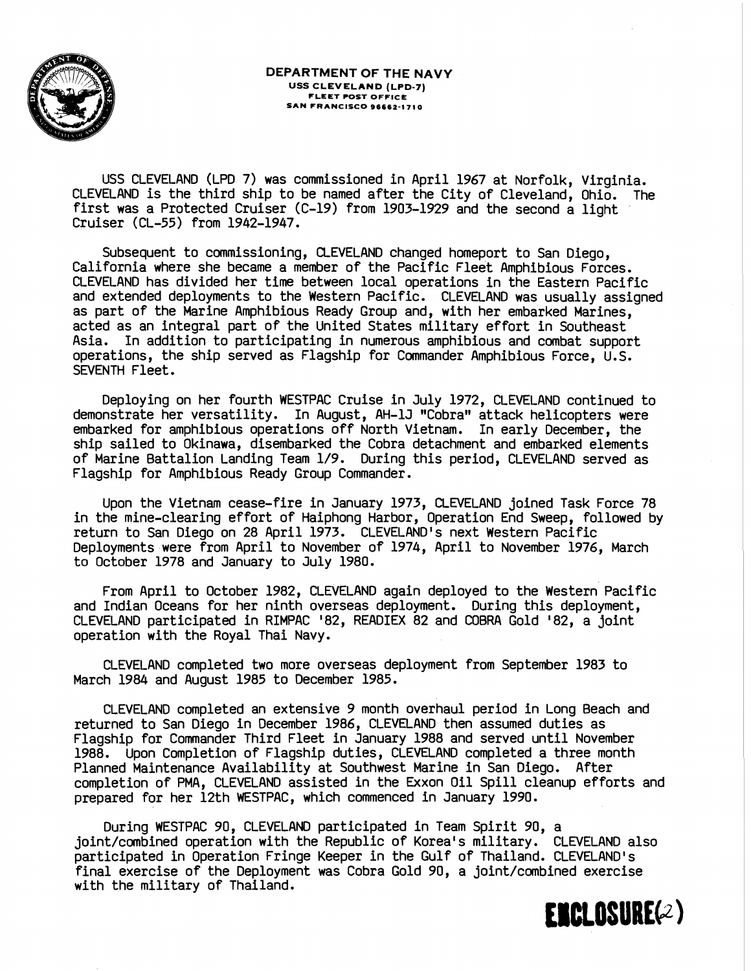

USS CLEVELAND (LPD 7) was commissioned in April 1967 at Norfolk, Virginia. CLEVELAND is the third ship to be named after the City of Cleveland, Ohio. The first was a Protected Cruiser (C-19) from 1903-1929 and the second a light Cruiser (CL-55) from 1942-1947.

Subsequent to commissioning, CLEVELAND changed homeport to San Diego, California where she became a member of the Pacific Fleet Amphibious Forces. CLEVELAND has divided her time between local operations in the Eastern Pacific and extended deployments to the Western Pacific. CLEVELAND was usually assigned as part of the Marine Amphibious Ready Group and, with her embarked Marines, acted as an integral part of the United States military effort in Southeast Asia. In addition to participating in numerous amphibious and combat support operations, the ship served as Flagship for Commander Amphibious Force, U.S. SEVENTH Fleet.

Deploying on her fourth WESTPAC Cruise in July 1972, CLEVELAND continued to demonstrate her versatility. In August, AH-1J "Cobra" attack helicopters were embarked for amphibious operations off North Vietnam. In early December, the ship sailed to Okinawa, disembarked the Cobra detachment and embarked elements of Marine Battalion Landing Team 1/9. During this period, CLEVELAND served as Flagship for Amphibious Ready Group Commander.

Upon the Vietnam cease-fire in January 1973, CLEVELAND joined Task Force 78 in the mine-clearing effort of Haiphong Harbor, Operation End Sweep, followed by return to San Diego on 28 April 1973. CLEVELAND'S next Western Pacific Deployments were from April to November of 1974, April to November 1976, March to October 1978 and January to July 1980.

From April to October 1982, CLEVELAND again deployed to the Western Pacific and Indian Oceans for her ninth overseas deployment. During this deployment, CLEVELAND participated in RIMPAC '82, READIEX 82 and COBRA Gold '82, a joint operation with the Royal Thai Navy.

CLEVELAND completed two more overseas deployment from September 1983 to March 1984 and August 1985 to December 1985.

CLEVELAND completed an extensive 9 month overhaul period in Long Beach and returned to San Diego in December 1986, CLEVELAND then assumed duties as Flagship for Commander Third Fleet in January 1988 and served until November 1988. Upon Completion of Flagship duties, CLEVELAND completed a three month Planned Maintenance Availability at Southwest Marine in San Diego. After completion of PMA, CLEVELAND assisted in the Exxon Oil Spill cleanup efforts and prepared for her 12th WESTPAC, which commenced in January 1990.

During WESTPAC 90, CLEVELAND participated in Team Spirit 90, a joint/combined operation with the Republic of Korea's military. CLEVELAND also participated in Operation Fringe Keeper in the Gulf of Thailand. CLEVELAND's final exercise of the Deployment was Cobra Gold 90, a joint/combined exercise with the military of Thailand.

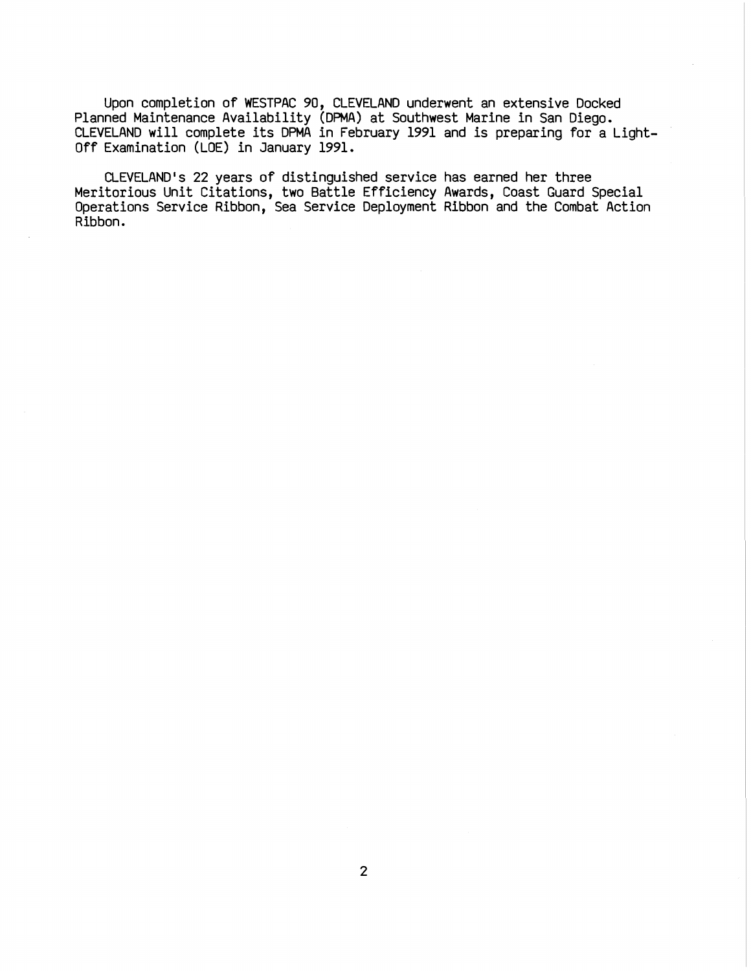Upon completion of WESTPAC 90, CLEVELAND underwent an extensive Docked Planned Maintenance Availability (DPMA) at Southwest Marine in San Diego. CLEVELAND will complete its DPMA in February 1991 and is preparing for a Light-Off Examination (LOE) in January 1991.

CLEVELAND'S 22 years of distinguished service has earned her three Meritorious Unit Citations, two Battle Efficiency Awards, Coast Guard Special Operations Service Ribbon, Sea Service Deployment Ribbon and the Combat Action Ribbon.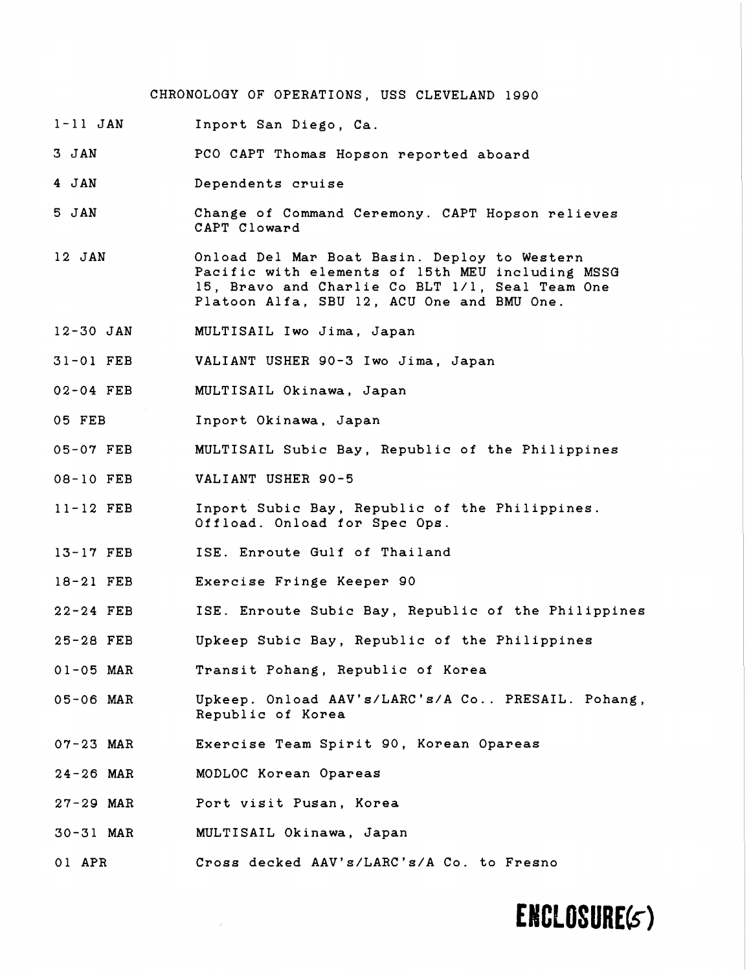#### CHRONOLOGY OF OPERATIONS, USS CLEVELAND 1990

1-11 JAN Inport San Diego, Ca

3 JAN PC0 CAPT Thomas Hopson reported aboard

- 4 JAN Dependents cruise
- 5 JAN Change of Command Ceremony. CAPT Hopson relieves CAPT Cloward
- 12 JAN Onload Del Mar Boat Basin. Deploy to Western Pacific with elements of 15th MEU including MSSe 15, Bravo and Charlie Co BLT 1/1, Seal Team One Platoon Alfa, SBU 12, ACU One and BMU One.
- 12-30 JAN MULTISAIL Iwo Jima, Japan

31-01 FEB VALIANT USHER 90-3 Iwo Jima, Japan

- 02-04 FEB MULTISAIL Okinawa, Japan
- 05 FEB Inport Okinawa, Japan
- 05-07 FEB MULTISAIL Subic Bay, Republic of the Philippines
- 08-10 FEB VALIANT USHER 90-5
- 11-12 FEB Inport Subic Bay, Republic of the Philippines. Offload. Onload for Spec Ops.
- 13-17 FEB ISE. Enroute Gulf of Thailand
- 18-21 FEB Exercise Fringe Keeper 90
- 22-24 FEB ISE. Enroute Subic Bay, Republic of the Philippines
- 25-28 FEB Upkeep Subic Bay, Republic of the Philippines
- 01-05 MAR Transit Pohang, Republic of Korea
- 05-06 MAR Upkeep. Onload AAV's/LARC's/A Co.. PRESAIL. Pohang, Republic of Korea
- 07-23 MAR Exercise Team Spirit 90, Korean Opareas
- 24-26 MAR MODLOC Korean Opareas
- 27-29 MAR Port visit Pusan, Korea
- 30-31 MAR MULTISAIL Okinawa, Japan
- 01 APR Cross decked AAV's/LARC's/A Co. to Fresno

### ENCLOSURE(5)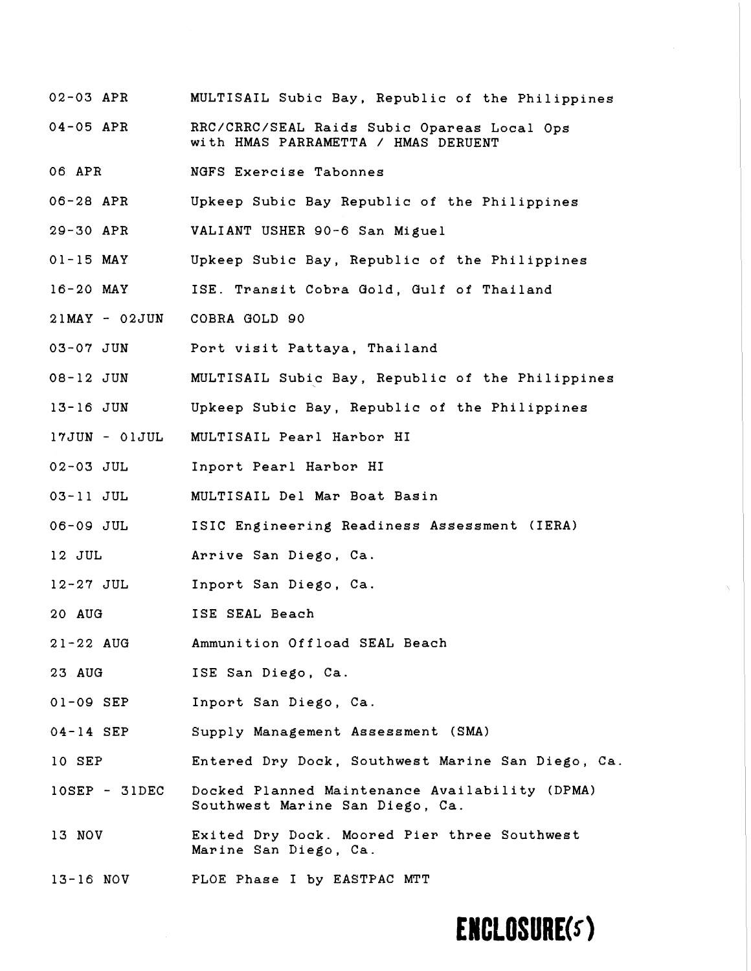- 02-03 APR MULTISAIL Subic Bay, Republic of the Philippines
- 04-05 APR RRC/CRRC/SEAL Raids Subic Opareas Local Ops with HMAS PARRAMETTA / HMAS DERUENT
- 06 APR NGFS Exercise Tabonnes
- 06-28 APR Upkeep Subic Bay Republic of the Philippines
- 29-30 APR VALIANT USHER 90-6 San Miguel
- 01-15 MAY Upkeep Subic Bay, Republic of the Philippines
- 16-20 MAY ISE. Transit Cobra Gold, Gulf of Thailand
- 21MAY O2JUN COBRA GOLD 90
- 03-07 JUN Port visit Pattaya, Thailand
- 08-12 JUN MULTISAIL Subic Bay, Republic of the Philippines
- 13-16 JUN Upkeep Subic Bay, Republic of the Philippines
- 17JUN OlJUL MULTISAIL Pearl Harbor HI
- 02-03 JUL Inport Pearl Harbor HI
- 03- 11 JUL MULTISAIL Del Mar Boat Basin
- 06-09 JUL ISIC Engineering Readiness Assessment (IERA)
- 12 JUL Arrive San Diego, Ca.
- 12-27 JUL Inport San Diego, Ca.
- 20 AUG ISE SEAL Beach
- 21-22 AUG Ammunition Offload SEAL Beach
- 23 AUG ISE San Diego, Ca.
- 01-09 SEP Inport San Diego, Ca.
- 04-14 SEP Supply Management Assessment (SMA)
- 10 SEP Entered Dry Dock, Southwest Marine San Diego, Ca.
- lOSEP 31DEC Docked Planned Maintenance Availability (DPMA) Southwest Marine San Diego, Ca.
- 13 NOV Exited Dry Dock. Moored Pier three Southwest Marine San Diego, Ca.
- 13-16 NOV FLOE Phase I by EASTPAC MTT

## **ENCLOSURE(s)**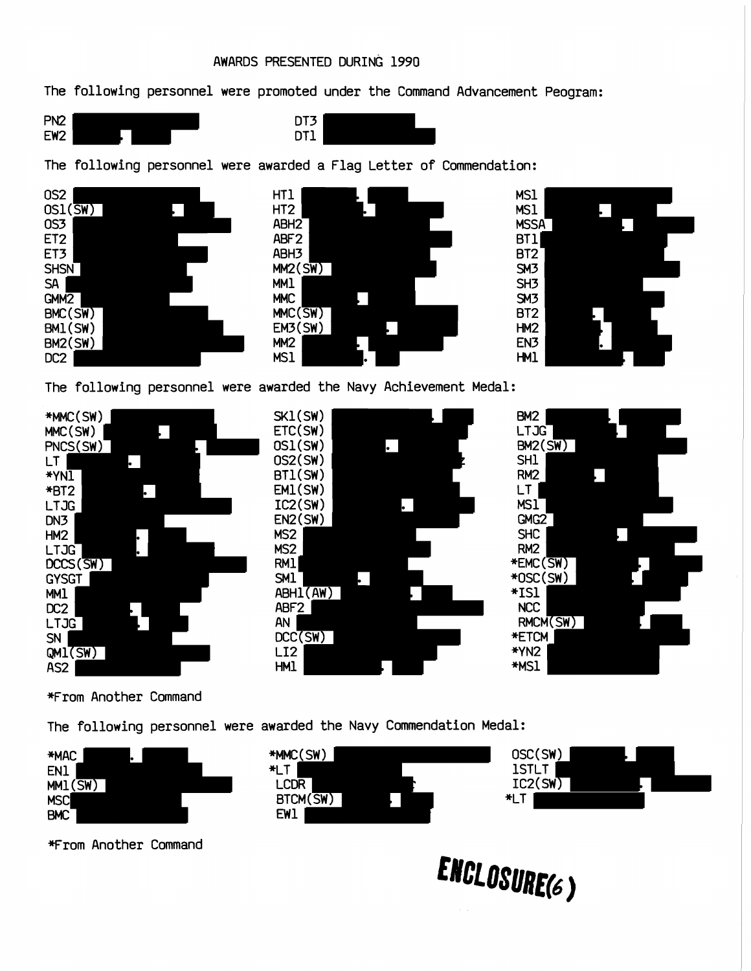### AWARDS PRESENTED DURING 1990

The following personnel were promoted under the Command Advancement Peogram:





The following personnel were awarded a Flag Letter of Commendation:







The following personnel were awarded the Navy Achievement Medal:







\*From Another Command

The following personnel were awarded the Navy Commendation Medal:



From Another Command